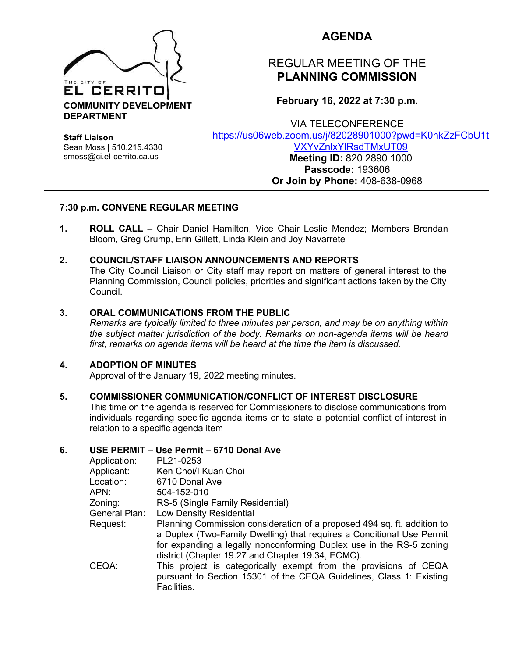

## **AGENDA**

# REGULAR MEETING OF THE **PLANNING COMMISSION**

**February 16, 2022 at 7:30 p.m.**

VIA TELECONFERENCE

[https://us06web.zoom.us/j/82028901000?pwd=K0hkZzFCbU1t](https://us06web.zoom.us/j/82028901000?pwd=K0hkZzFCbU1tVXYvZnlxYlRsdTMxUT09) [VXYvZnlxYlRsdTMxUT09](https://us06web.zoom.us/j/82028901000?pwd=K0hkZzFCbU1tVXYvZnlxYlRsdTMxUT09)

**Staff Liaison** Sean Moss | 510.215.4330 smoss@ci.el-cerrito.ca.us

**Meeting ID:** 820 2890 1000 **Passcode:** 193606 **Or Join by Phone:** 408-638-0968

## **7:30 p.m. CONVENE REGULAR MEETING**

**1. ROLL CALL –** Chair Daniel Hamilton, Vice Chair Leslie Mendez; Members Brendan Bloom, Greg Crump, Erin Gillett, Linda Klein and Joy Navarrete

## **2. COUNCIL/STAFF LIAISON ANNOUNCEMENTS AND REPORTS**

The City Council Liaison or City staff may report on matters of general interest to the Planning Commission, Council policies, priorities and significant actions taken by the City Council.

#### **3. ORAL COMMUNICATIONS FROM THE PUBLIC**

*Remarks are typically limited to three minutes per person, and may be on anything within the subject matter jurisdiction of the body. Remarks on non-agenda items will be heard first, remarks on agenda items will be heard at the time the item is discussed.* 

#### **4. ADOPTION OF MINUTES**

Approval of the January 19, 2022 meeting minutes.

#### **5. COMMISSIONER COMMUNICATION/CONFLICT OF INTEREST DISCLOSURE**

This time on the agenda is reserved for Commissioners to disclose communications from individuals regarding specific agenda items or to state a potential conflict of interest in relation to a specific agenda item

#### **6. USE PERMIT – Use Permit – 6710 Donal Ave**

| Application:  | PL21-0253                                                                                                                                                                                                                                                                    |
|---------------|------------------------------------------------------------------------------------------------------------------------------------------------------------------------------------------------------------------------------------------------------------------------------|
| Applicant:    | Ken Choi/I Kuan Choi                                                                                                                                                                                                                                                         |
| Location:     | 6710 Donal Ave                                                                                                                                                                                                                                                               |
| APN:          | 504-152-010                                                                                                                                                                                                                                                                  |
| Zoning:       | RS-5 (Single Family Residential)                                                                                                                                                                                                                                             |
| General Plan: | Low Density Residential                                                                                                                                                                                                                                                      |
| Request:      | Planning Commission consideration of a proposed 494 sq. ft. addition to<br>a Duplex (Two-Family Dwelling) that requires a Conditional Use Permit<br>for expanding a legally nonconforming Duplex use in the RS-5 zoning<br>district (Chapter 19.27 and Chapter 19.34, ECMC). |
| CEQA:         | This project is categorically exempt from the provisions of CEQA<br>pursuant to Section 15301 of the CEQA Guidelines, Class 1: Existing<br>Facilities.                                                                                                                       |